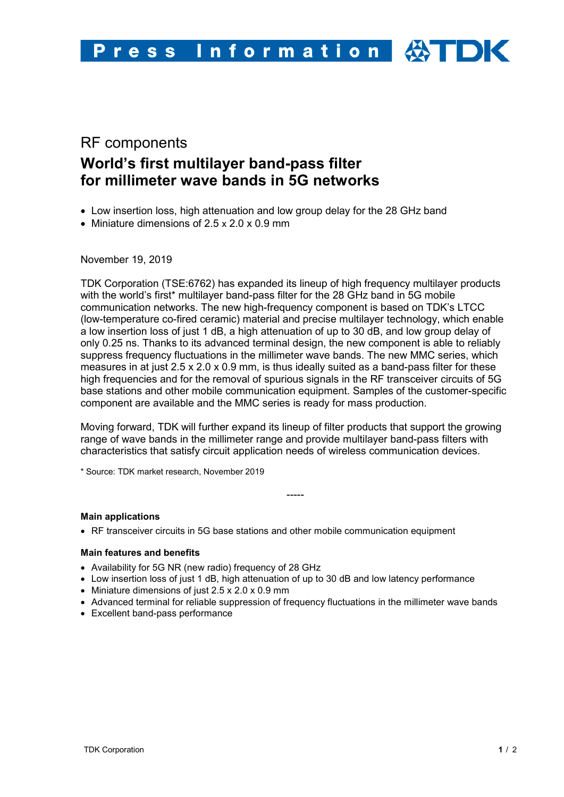# RF components **World's first multilayer band-pass filter for millimeter wave bands in 5G networks**

- Low insertion loss, high attenuation and low group delay for the 28 GHz band
- Miniature dimensions of 2.5 x 2.0 x 0.9 mm

November 19, 2019

TDK Corporation (TSE:6762) has expanded its lineup of high frequency multilayer products with the world's first\* multilayer band-pass filter for the 28 GHz band in 5G mobile communication networks. The new high-frequency component is based on TDK's LTCC (low-temperature co-fired ceramic) material and precise multilayer technology, which enable a low insertion loss of just 1 dB, a high attenuation of up to 30 dB, and low group delay of only 0.25 ns. Thanks to its advanced terminal design, the new component is able to reliably suppress frequency fluctuations in the millimeter wave bands. The new MMC series, which measures in at just 2.5 x 2.0 x 0.9 mm, is thus ideally suited as a band-pass filter for these high frequencies and for the removal of spurious signals in the RF transceiver circuits of 5G base stations and other mobile communication equipment. Samples of the customer-specific component are available and the MMC series is ready for mass production.

Moving forward, TDK will further expand its lineup of filter products that support the growing range of wave bands in the millimeter range and provide multilayer band-pass filters with characteristics that satisfy circuit application needs of wireless communication devices.

-----

\* Source: TDK market research, November 2019

### **Main applications**

• RF transceiver circuits in 5G base stations and other mobile communication equipment

### **Main features and benefits**

- Availability for 5G NR (new radio) frequency of 28 GHz
- Low insertion loss of just 1 dB, high attenuation of up to 30 dB and low latency performance
- Miniature dimensions of just 2.5 x 2.0 x 0.9 mm
- Advanced terminal for reliable suppression of frequency fluctuations in the millimeter wave bands
- Excellent band-pass performance